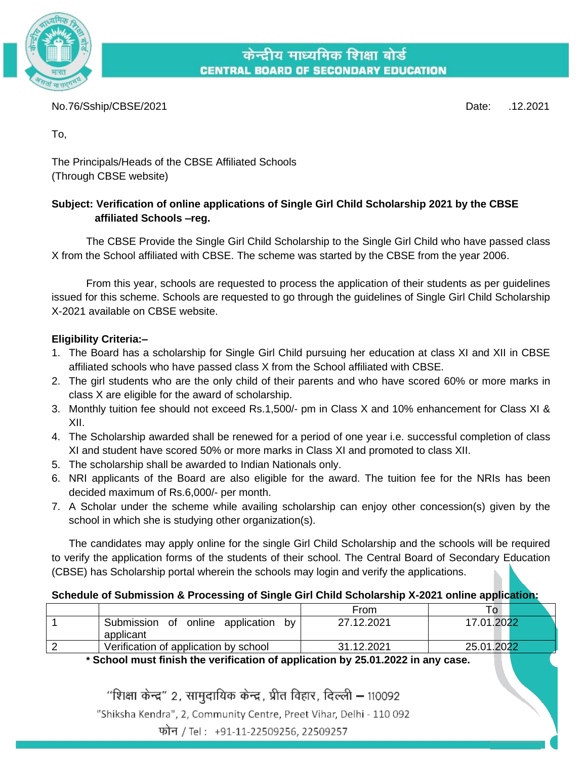

केन्द्रीय माध्यमिक शिक्षा बोर्ड **CENTRAL BOARD OF SECONDARY EDUCATION** 

No.76/Sship/CBSE/2021 Date: .12.2021

To,

The Principals/Heads of the CBSE Affiliated Schools (Through CBSE website)

## **Subject: Verification of online applications of Single Girl Child Scholarship 2021 by the CBSE affiliated Schools –reg.**

The CBSE Provide the Single Girl Child Scholarship to the Single Girl Child who have passed class X from the School affiliated with CBSE. The scheme was started by the CBSE from the year 2006.

From this year, schools are requested to process the application of their students as per guidelines issued for this scheme. Schools are requested to go through the guidelines of Single Girl Child Scholarship X-2021 available on CBSE website.

## **Eligibility Criteria:–**

- 1. The Board has a scholarship for Single Girl Child pursuing her education at class XI and XII in CBSE affiliated schools who have passed class X from the School affiliated with CBSE.
- 2. The girl students who are the only child of their parents and who have scored 60% or more marks in class X are eligible for the award of scholarship.
- 3. Monthly tuition fee should not exceed Rs.1,500/- pm in Class X and 10% enhancement for Class XI & XII.
- 4. The Scholarship awarded shall be renewed for a period of one year i.e. successful completion of class XI and student have scored 50% or more marks in Class XI and promoted to class XII.
- 5. The scholarship shall be awarded to Indian Nationals only.
- 6. NRI applicants of the Board are also eligible for the award. The tuition fee for the NRIs has been decided maximum of Rs.6,000/- per month.
- 7. A Scholar under the scheme while availing scholarship can enjoy other concession(s) given by the school in which she is studying other organization(s).

The candidates may apply online for the single Girl Child Scholarship and the schools will be required to verify the application forms of the students of their school. The Central Board of Secondary Education (CBSE) has Scholarship portal wherein the schools may login and verify the applications.

## **Schedule of Submission & Processing of Single Girl Child Scholarship X-2021 online application:**

|                                                           | From       | To.        |
|-----------------------------------------------------------|------------|------------|
| online application<br>Submission<br>0f<br>bv<br>applicant | 27.12.2021 | 17.01.2022 |
| Verification of application by school                     | 31.12.2021 | 25.01.2022 |

**\* School must finish the verification of application by 25.01.2022 in any case.**

"शिक्षा केन्द्र" 2, सामुदायिक केन्द्र, प्रीत विहार, दिल्ली – 110092

"Shiksha Kendra", 2, Community Centre, Preet Vihar, Delhi - 110 092

फोन / Tel: +91-11-22509256, 22509257